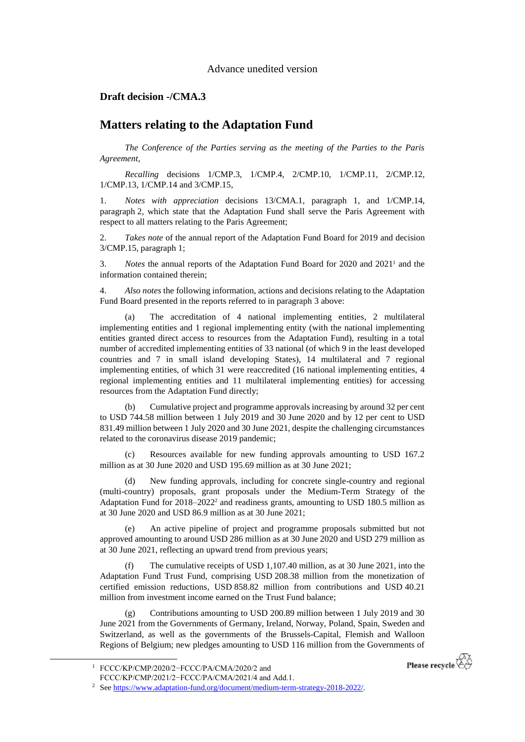Advance unedited version

## **Draft decision -/CMA.3**

## **Matters relating to the Adaptation Fund**

*The Conference of the Parties serving as the meeting of the Parties to the Paris Agreement*,

*Recalling* decisions 1/CMP.3, 1/CMP.4, 2/CMP.10, 1/CMP.11, 2/CMP.12, 1/CMP.13, 1/CMP.14 and 3/CMP.15,

1. *Notes with appreciation* decisions 13/CMA.1, paragraph 1, and 1/CMP.14, paragraph 2, which state that the Adaptation Fund shall serve the Paris Agreement with respect to all matters relating to the Paris Agreement;

2. *Takes note* of the annual report of the Adaptation Fund Board for 2019 and decision 3/CMP.15, paragraph 1;

3. *Notes* the annual reports of the Adaptation Fund Board for 2020 and 2021<sup>1</sup> and the information contained therein;

4. *Also notes* the following information, actions and decisions relating to the Adaptation Fund Board presented in the reports referred to in paragraph 3 above:

(a) The accreditation of 4 national implementing entities, 2 multilateral implementing entities and 1 regional implementing entity (with the national implementing entities granted direct access to resources from the Adaptation Fund), resulting in a total number of accredited implementing entities of 33 national (of which 9 in the least developed countries and 7 in small island developing States), 14 multilateral and 7 regional implementing entities, of which 31 were reaccredited (16 national implementing entities, 4 regional implementing entities and 11 multilateral implementing entities) for accessing resources from the Adaptation Fund directly;

(b) Cumulative project and programme approvals increasing by around 32 per cent to USD 744.58 million between 1 July 2019 and 30 June 2020 and by 12 per cent to USD 831.49 million between 1 July 2020 and 30 June 2021, despite the challenging circumstances related to the coronavirus disease 2019 pandemic;

Resources available for new funding approvals amounting to USD 167.2 million as at 30 June 2020 and USD 195.69 million as at 30 June 2021;

(d) New funding approvals, including for concrete single-country and regional (multi-country) proposals, grant proposals under the Medium-Term Strategy of the Adaptation Fund for  $2018-2022^2$  and readiness grants, amounting to USD 180.5 million as at 30 June 2020 and USD 86.9 million as at 30 June 2021;

An active pipeline of project and programme proposals submitted but not approved amounting to around USD 286 million as at 30 June 2020 and USD 279 million as at 30 June 2021, reflecting an upward trend from previous years;

(f) The cumulative receipts of USD 1,107.40 million, as at 30 June 2021, into the Adaptation Fund Trust Fund, comprising USD 208.38 million from the monetization of certified emission reductions, USD 858.82 million from contributions and USD 40.21 million from investment income earned on the Trust Fund balance;

(g) Contributions amounting to USD 200.89 million between 1 July 2019 and 30 June 2021 from the Governments of Germany, Ireland, Norway, Poland, Spain, Sweden and Switzerland, as well as the governments of the Brussels-Capital, Flemish and Walloon Regions of Belgium; new pledges amounting to USD 116 million from the Governments of

-

Please recycle

<sup>1</sup> FCCC/KP/CMP/2020/2−FCCC/PA/CMA/2020/2 and

FCCC/KP/CMP/2021/2−FCCC/PA/CMA/2021/4 and Add.1.

<sup>&</sup>lt;sup>2</sup> Se[e https://www.adaptation-fund.org/document/medium-term-strategy-2018-2022/.](https://www.adaptation-fund.org/document/medium-term-strategy-2018-2022/)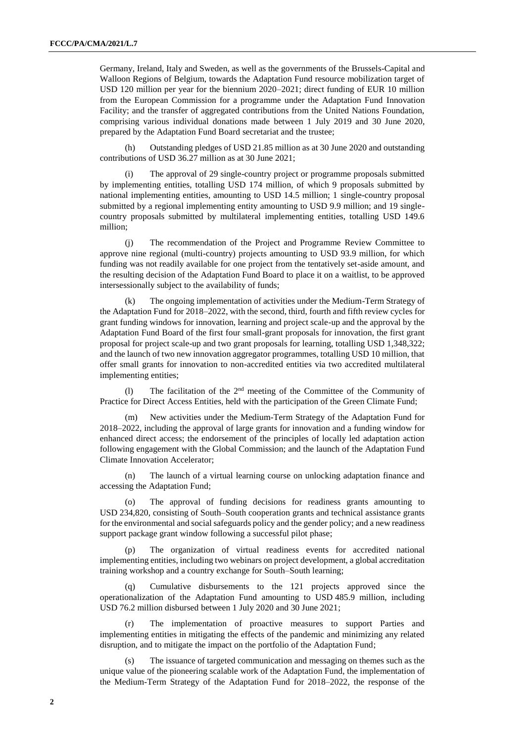Germany, Ireland, Italy and Sweden, as well as the governments of the Brussels-Capital and Walloon Regions of Belgium, towards the Adaptation Fund resource mobilization target of USD 120 million per year for the biennium 2020–2021; direct funding of EUR 10 million from the European Commission for a programme under the Adaptation Fund Innovation Facility; and the transfer of aggregated contributions from the United Nations Foundation, comprising various individual donations made between 1 July 2019 and 30 June 2020, prepared by the Adaptation Fund Board secretariat and the trustee;

(h) Outstanding pledges of USD 21.85 million as at 30 June 2020 and outstanding contributions of USD 36.27 million as at 30 June 2021;

(i) The approval of 29 single-country project or programme proposals submitted by implementing entities, totalling USD 174 million, of which 9 proposals submitted by national implementing entities, amounting to USD 14.5 million; 1 single-country proposal submitted by a regional implementing entity amounting to USD 9.9 million; and 19 singlecountry proposals submitted by multilateral implementing entities, totalling USD 149.6 million;

(j) The recommendation of the Project and Programme Review Committee to approve nine regional (multi-country) projects amounting to USD 93.9 million, for which funding was not readily available for one project from the tentatively set-aside amount, and the resulting decision of the Adaptation Fund Board to place it on a waitlist, to be approved intersessionally subject to the availability of funds;

(k) The ongoing implementation of activities under the Medium-Term Strategy of the Adaptation Fund for 2018–2022, with the second, third, fourth and fifth review cycles for grant funding windows for innovation, learning and project scale-up and the approval by the Adaptation Fund Board of the first four small-grant proposals for innovation, the first grant proposal for project scale-up and two grant proposals for learning, totalling USD 1,348,322; and the launch of two new innovation aggregator programmes, totalling USD 10 million, that offer small grants for innovation to non-accredited entities via two accredited multilateral implementing entities;

(1) The facilitation of the  $2<sup>nd</sup>$  meeting of the Committee of the Community of Practice for Direct Access Entities, held with the participation of the Green Climate Fund;

(m) New activities under the Medium-Term Strategy of the Adaptation Fund for 2018–2022, including the approval of large grants for innovation and a funding window for enhanced direct access; the endorsement of the principles of locally led adaptation action following engagement with the Global Commission; and the launch of the Adaptation Fund Climate Innovation Accelerator;

(n) The launch of a virtual learning course on unlocking adaptation finance and accessing the Adaptation Fund;

(o) The approval of funding decisions for readiness grants amounting to USD 234,820, consisting of South–South cooperation grants and technical assistance grants for the environmental and social safeguards policy and the gender policy; and a new readiness support package grant window following a successful pilot phase;

(p) The organization of virtual readiness events for accredited national implementing entities, including two webinars on project development, a global accreditation training workshop and a country exchange for South–South learning;

(q) Cumulative disbursements to the 121 projects approved since the operationalization of the Adaptation Fund amounting to USD 485.9 million, including USD 76.2 million disbursed between 1 July 2020 and 30 June 2021;

(r) The implementation of proactive measures to support Parties and implementing entities in mitigating the effects of the pandemic and minimizing any related disruption, and to mitigate the impact on the portfolio of the Adaptation Fund;

The issuance of targeted communication and messaging on themes such as the unique value of the pioneering scalable work of the Adaptation Fund, the implementation of the Medium-Term Strategy of the Adaptation Fund for 2018–2022, the response of the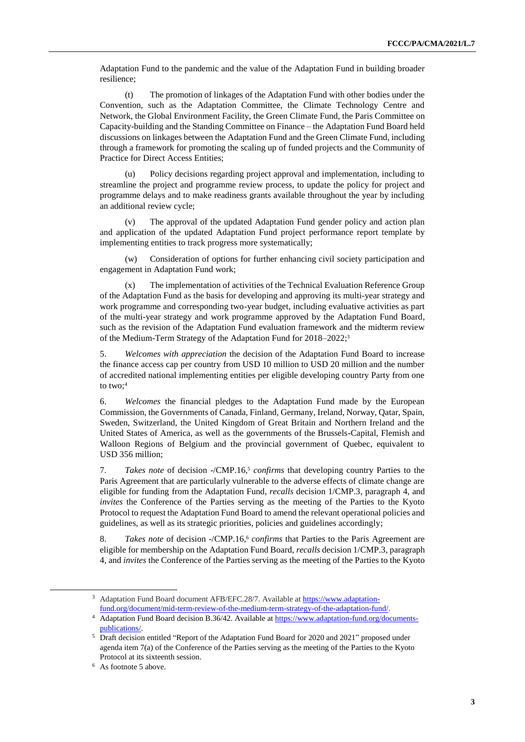Adaptation Fund to the pandemic and the value of the Adaptation Fund in building broader resilience;

(t) The promotion of linkages of the Adaptation Fund with other bodies under the Convention, such as the Adaptation Committee, the Climate Technology Centre and Network, the Global Environment Facility, the Green Climate Fund, the Paris Committee on Capacity-building and the Standing Committee on Finance – the Adaptation Fund Board held discussions on linkages between the Adaptation Fund and the Green Climate Fund, including through a framework for promoting the scaling up of funded projects and the Community of Practice for Direct Access Entities;

(u) Policy decisions regarding project approval and implementation, including to streamline the project and programme review process, to update the policy for project and programme delays and to make readiness grants available throughout the year by including an additional review cycle;

(v) The approval of the updated Adaptation Fund gender policy and action plan and application of the updated Adaptation Fund project performance report template by implementing entities to track progress more systematically;

(w) Consideration of options for further enhancing civil society participation and engagement in Adaptation Fund work;

(x) The implementation of activities of the Technical Evaluation Reference Group of the Adaptation Fund as the basis for developing and approving its multi-year strategy and work programme and corresponding two-year budget, including evaluative activities as part of the multi-year strategy and work programme approved by the Adaptation Fund Board, such as the revision of the Adaptation Fund evaluation framework and the midterm review of the Medium-Term Strategy of the Adaptation Fund for 2018–2022;<sup>3</sup>

5. *Welcomes with appreciation* the decision of the Adaptation Fund Board to increase the finance access cap per country from USD 10 million to USD 20 million and the number of accredited national implementing entities per eligible developing country Party from one to two: $4$ 

6. *Welcomes* the financial pledges to the Adaptation Fund made by the European Commission, the Governments of Canada, Finland, Germany, Ireland, Norway, Qatar, Spain, Sweden, Switzerland, the United Kingdom of Great Britain and Northern Ireland and the United States of America, as well as the governments of the Brussels-Capital, Flemish and Walloon Regions of Belgium and the provincial government of Quebec, equivalent to USD 356 million;

7. *Takes note* of decision -/CMP.16, <sup>5</sup> *confirms* that developing country Parties to the Paris Agreement that are particularly vulnerable to the adverse effects of climate change are eligible for funding from the Adaptation Fund, *recalls* decision 1/CMP.3, paragraph 4, and *invites* the Conference of the Parties serving as the meeting of the Parties to the Kyoto Protocol to request the Adaptation Fund Board to amend the relevant operational policies and guidelines, as well as its strategic priorities, policies and guidelines accordingly;

8. *Takes note* of decision -/CMP.16, <sup>6</sup> *confirms* that Parties to the Paris Agreement are eligible for membership on the Adaptation Fund Board, *recalls* decision 1/CMP.3, paragraph 4, and *invites* the Conference of the Parties serving as the meeting of the Parties to the Kyoto

 $\overline{a}$ 

<sup>3</sup> Adaptation Fund Board document AFB/EFC.28/7. Available at [https://www.adaptation](https://www.adaptation-fund.org/document/mid-term-review-of-the-medium-term-strategy-of-the-adaptation-fund/)[fund.org/document/mid-term-review-of-the-medium-term-strategy-of-the-adaptation-fund/.](https://www.adaptation-fund.org/document/mid-term-review-of-the-medium-term-strategy-of-the-adaptation-fund/)

<sup>4</sup> Adaptation Fund Board decision B.36/42. Available at [https://www.adaptation-fund.org/documents](https://www.adaptation-fund.org/documents-publications/)[publications/.](https://www.adaptation-fund.org/documents-publications/)

<sup>&</sup>lt;sup>5</sup> Draft decision entitled "Report of the Adaptation Fund Board for 2020 and 2021" proposed under agenda item 7(a) of the Conference of the Parties serving as the meeting of the Parties to the Kyoto Protocol at its sixteenth session.

<sup>&</sup>lt;sup>6</sup> As footnote 5 above.